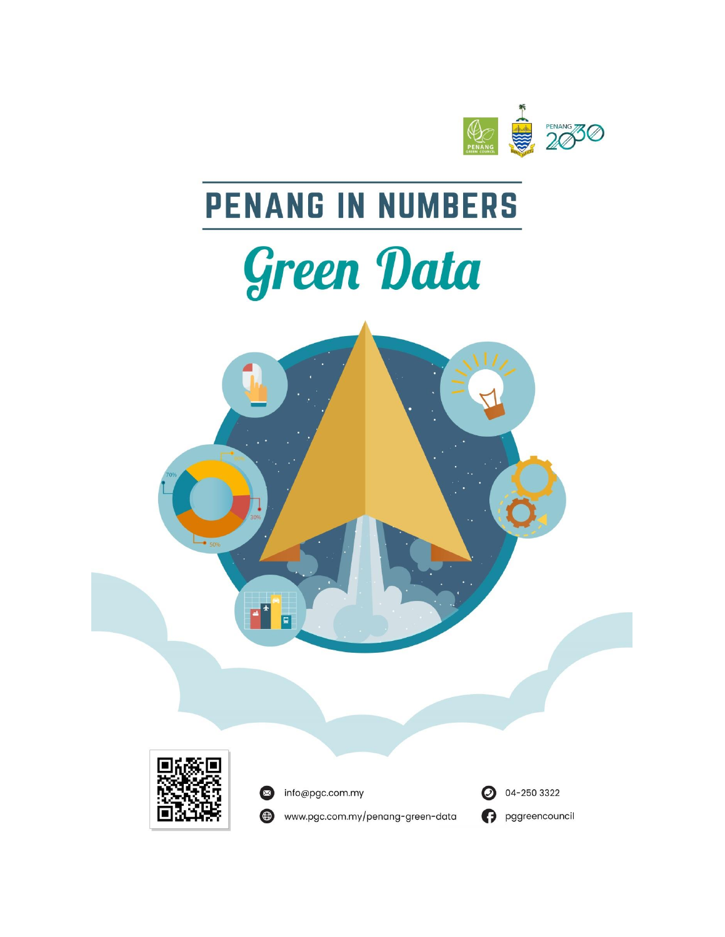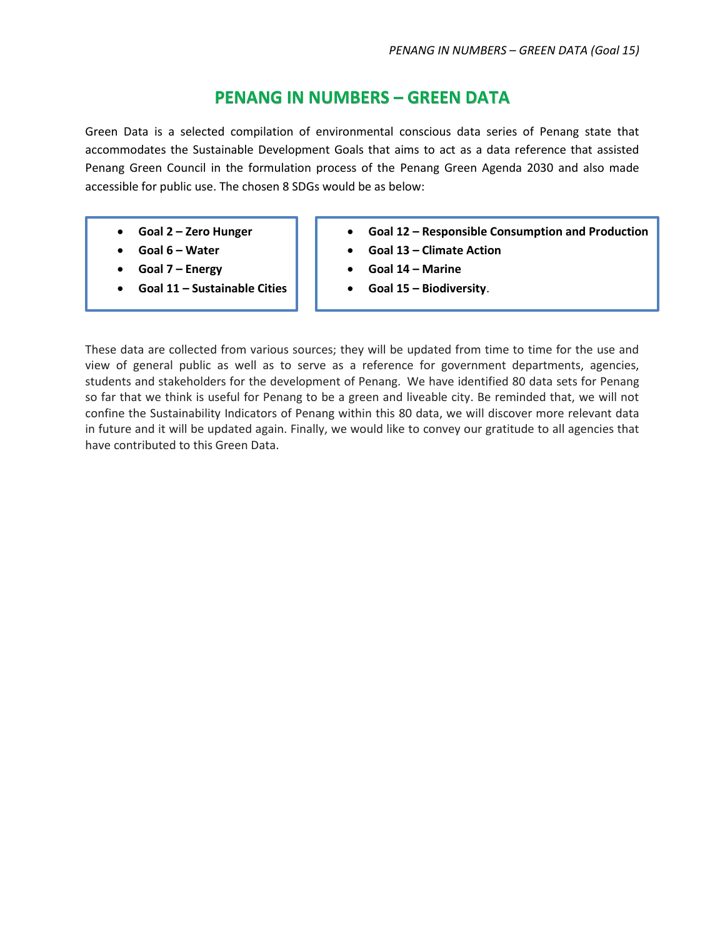## **PENANG IN NUMBERS – GREEN DATA**

Green Data is a selected compilation of environmental conscious data series of Penang state that accommodates the Sustainable Development Goals that aims to act as a data reference that assisted Penang Green Council in the formulation process of the Penang Green Agenda 2030 and also made accessible for public use. The chosen 8 SDGs would be as below:

- **Goal 2 – Zero Hunger**
- **Goal 6 – Water**
- **Goal 7 – Energy**
- **Goal 11 – Sustainable Cities**
- **Goal 12 – Responsible Consumption and Production**
- **Goal 13 – Climate Action**
- **Goal 14 – Marine**
- **Goal 15 – Biodiversity**.

These data are collected from various sources; they will be updated from time to time for the use and view of general public as well as to serve as a reference for government departments, agencies, students and stakeholders for the development of Penang. We have identified 80 data sets for Penang so far that we think is useful for Penang to be a green and liveable city. Be reminded that, we will not confine the Sustainability Indicators of Penang within this 80 data, we will discover more relevant data in future and it will be updated again. Finally, we would like to convey our gratitude to all agencies that have contributed to this Green Data.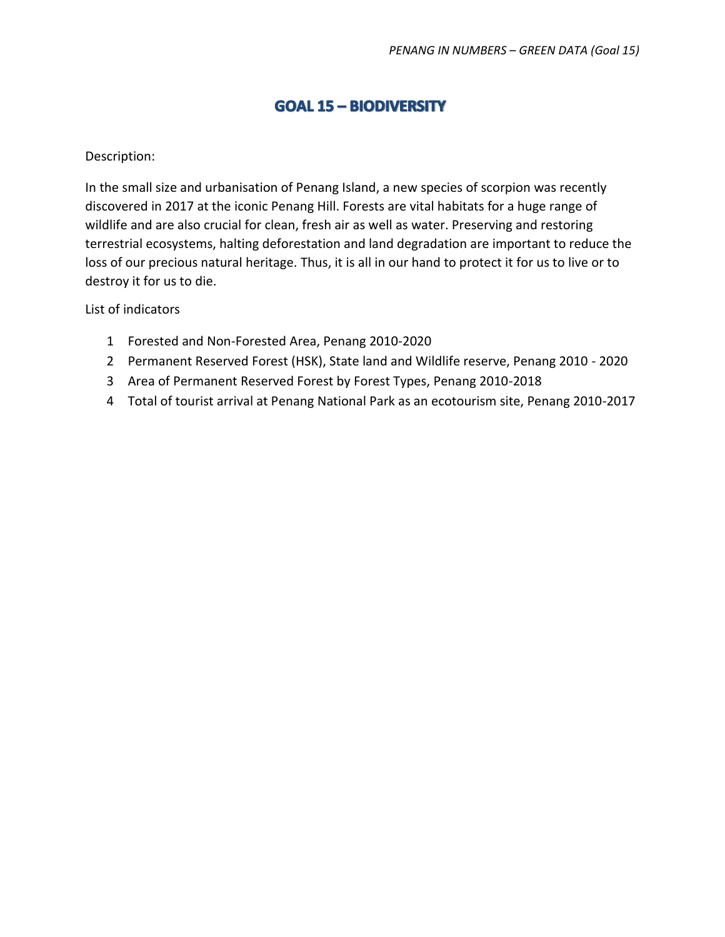# **GOAL 15 - BIODIVERSITY**

### Description:

In the small size and urbanisation of Penang Island, a new species of scorpion was recently discovered in 2017 at the iconic Penang Hill. Forests are vital habitats for a huge range of wildlife and are also crucial for clean, fresh air as well as water. Preserving and restoring terrestrial ecosystems, halting deforestation and land degradation are important to reduce the loss of our precious natural heritage. Thus, it is all in our hand to protect it for us to live or to destroy it for us to die.

List of indicators

- 1 Forested and Non-Forested Area, Penang 2010-2020
- 2 Permanent Reserved Forest (HSK), State land and Wildlife reserve, Penang 2010 2020
- 3 Area of Permanent Reserved Forest by Forest Types, Penang 2010-2018
- 4 Total of tourist arrival at Penang National Park as an ecotourism site, Penang 2010-2017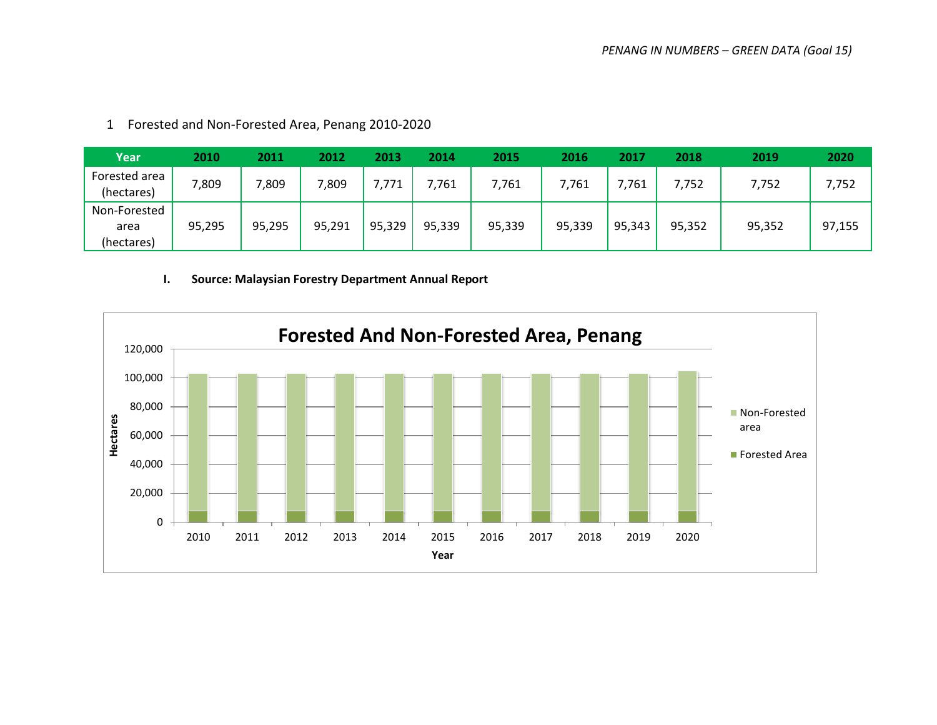| Year                               | 2010   | 2011   | 2012   | 2013   | 2014   | 2015   | 2016   | 2017   | 2018   | 2019   | 2020   |
|------------------------------------|--------|--------|--------|--------|--------|--------|--------|--------|--------|--------|--------|
| Forested area<br>(hectares)        | ,809   | ,809   | 7,809  | 7,771  | 7,761  | 7,761  | 7,761  | 7,761  | 7,752  | 7,752  | 7,752  |
| Non-Forested<br>area<br>(hectares) | 95,295 | 95,295 | 95,291 | 95,329 | 95,339 | 95,339 | 95,339 | 95,343 | 95,352 | 95,352 | 97,155 |

1 Forested and Non-Forested Area, Penang 2010-2020

#### **I. Source: Malaysian Forestry Department Annual Report**

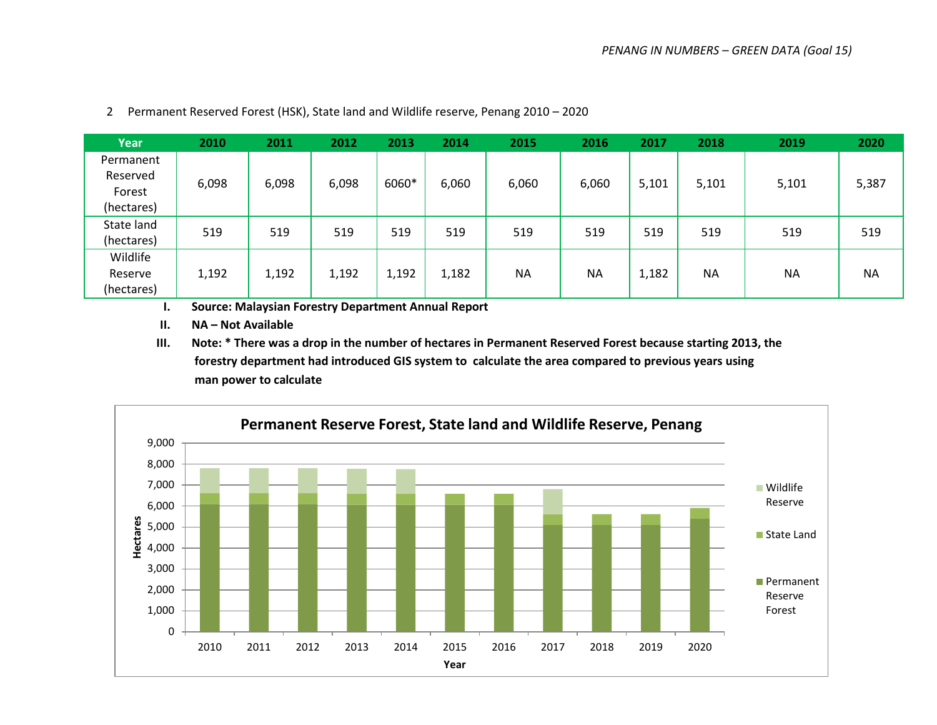| Year       | 2010  | 2011  | 2012  | 2013  | 2014  | 2015      | 2016      | 2017  | 2018      | 2019      | 2020      |
|------------|-------|-------|-------|-------|-------|-----------|-----------|-------|-----------|-----------|-----------|
| Permanent  |       |       |       |       |       |           |           |       |           |           |           |
| Reserved   | 6,098 | 6,098 | 6,098 | 6060* | 6,060 | 6,060     | 6,060     | 5,101 | 5,101     | 5,101     | 5,387     |
| Forest     |       |       |       |       |       |           |           |       |           |           |           |
| (hectares) |       |       |       |       |       |           |           |       |           |           |           |
| State land |       |       |       |       |       |           |           |       |           |           | 519       |
| (hectares) | 519   | 519   | 519   | 519   | 519   | 519       | 519       | 519   | 519       | 519       |           |
| Wildlife   |       |       |       |       |       |           |           |       |           |           |           |
| Reserve    | 1,192 | 1,192 | 1,192 | 1,192 | 1,182 | <b>NA</b> | <b>NA</b> | 1,182 | <b>NA</b> | <b>NA</b> | <b>NA</b> |
| (hectares) |       |       |       |       |       |           |           |       |           |           |           |

2 Permanent Reserved Forest (HSK), State land and Wildlife reserve, Penang 2010 – 2020

**I. Source: Malaysian Forestry Department Annual Report**

**II. NA – Not Available** 

**III. Note: \* There was a drop in the number of hectares in Permanent Reserved Forest because starting 2013, the forestry department had introduced GIS system to calculate the area compared to previous years using man power to calculate**